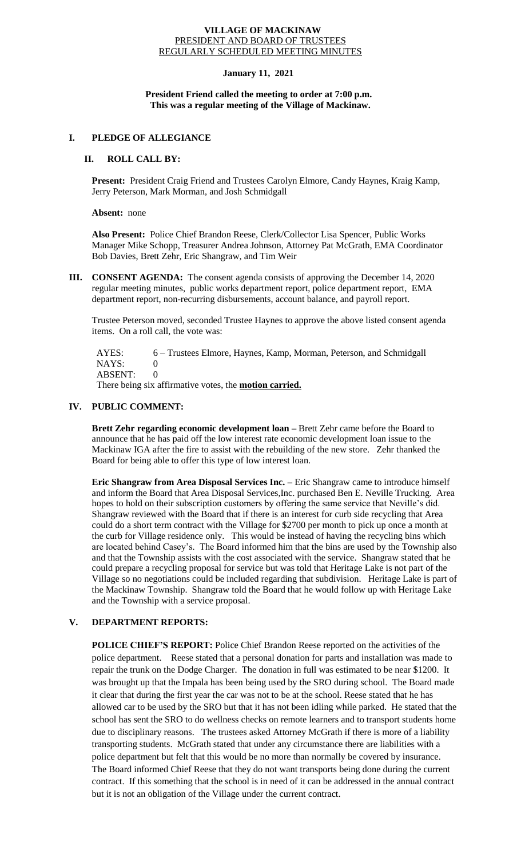#### **VILLAGE OF MACKINAW** PRESIDENT AND BOARD OF TRUSTEES REGULARLY SCHEDULED MEETING MINUTES

## **January 11, 2021**

### **President Friend called the meeting to order at 7:00 p.m. This was a regular meeting of the Village of Mackinaw.**

#### **I. PLEDGE OF ALLEGIANCE**

## **II. ROLL CALL BY:**

**Present:** President Craig Friend and Trustees Carolyn Elmore, Candy Haynes, Kraig Kamp, Jerry Peterson, Mark Morman, and Josh Schmidgall

**Absent:** none

**Also Present:** Police Chief Brandon Reese, Clerk/Collector Lisa Spencer, Public Works Manager Mike Schopp, Treasurer Andrea Johnson, Attorney Pat McGrath, EMA Coordinator Bob Davies, Brett Zehr, Eric Shangraw, and Tim Weir

**III. CONSENT AGENDA:** The consent agenda consists of approving the December 14, 2020 regular meeting minutes, public works department report, police department report, EMA department report, non-recurring disbursements, account balance, and payroll report.

Trustee Peterson moved, seconded Trustee Haynes to approve the above listed consent agenda items. On a roll call, the vote was:

 AYES: 6 – Trustees Elmore, Haynes, Kamp, Morman, Peterson, and Schmidgall NAYS: 0 ABSENT: 0

There being six affirmative votes, the **motion carried.**

### **IV. PUBLIC COMMENT:**

**Brett Zehr regarding economic development loan –** Brett Zehr came before the Board to announce that he has paid off the low interest rate economic development loan issue to the Mackinaw IGA after the fire to assist with the rebuilding of the new store. Zehr thanked the Board for being able to offer this type of low interest loan.

**Eric Shangraw from Area Disposal Services Inc. –** Eric Shangraw came to introduce himself and inform the Board that Area Disposal Services,Inc. purchased Ben E. Neville Trucking. Area hopes to hold on their subscription customers by offering the same service that Neville's did. Shangraw reviewed with the Board that if there is an interest for curb side recycling that Area could do a short term contract with the Village for \$2700 per month to pick up once a month at the curb for Village residence only. This would be instead of having the recycling bins which are located behind Casey's. The Board informed him that the bins are used by the Township also and that the Township assists with the cost associated with the service. Shangraw stated that he could prepare a recycling proposal for service but was told that Heritage Lake is not part of the Village so no negotiations could be included regarding that subdivision. Heritage Lake is part of the Mackinaw Township. Shangraw told the Board that he would follow up with Heritage Lake and the Township with a service proposal.

# **V. DEPARTMENT REPORTS:**

**POLICE CHIEF'S REPORT:** Police Chief Brandon Reese reported on the activities of the police department. Reese stated that a personal donation for parts and installation was made to repair the trunk on the Dodge Charger. The donation in full was estimated to be near \$1200. It was brought up that the Impala has been being used by the SRO during school. The Board made it clear that during the first year the car was not to be at the school. Reese stated that he has allowed car to be used by the SRO but that it has not been idling while parked. He stated that the school has sent the SRO to do wellness checks on remote learners and to transport students home due to disciplinary reasons. The trustees asked Attorney McGrath if there is more of a liability transporting students. McGrath stated that under any circumstance there are liabilities with a police department but felt that this would be no more than normally be covered by insurance. The Board informed Chief Reese that they do not want transports being done during the current contract. If this something that the school is in need of it can be addressed in the annual contract but it is not an obligation of the Village under the current contract.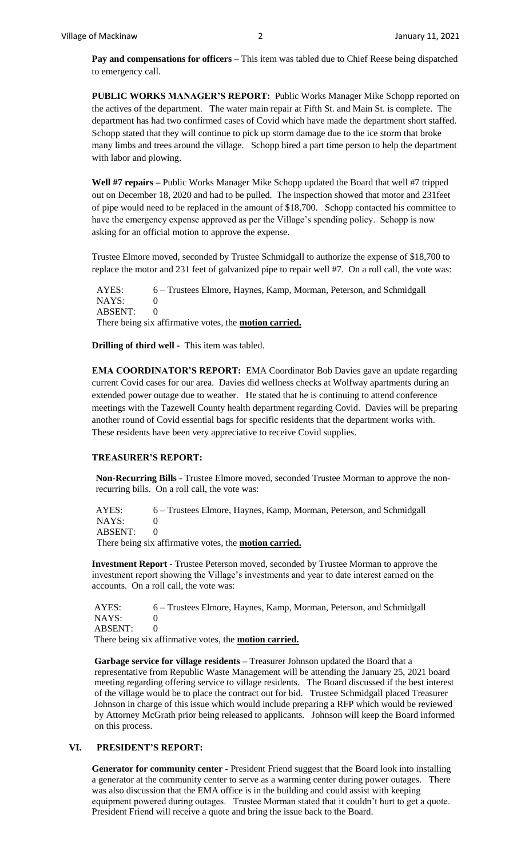**Pay and compensations for officers –** This item was tabled due to Chief Reese being dispatched to emergency call.

**PUBLIC WORKS MANAGER'S REPORT:** Public Works Manager Mike Schopp reported on the actives of the department. The water main repair at Fifth St. and Main St. is complete. The department has had two confirmed cases of Covid which have made the department short staffed. Schopp stated that they will continue to pick up storm damage due to the ice storm that broke many limbs and trees around the village. Schopp hired a part time person to help the department with labor and plowing.

**Well #7 repairs –** Public Works Manager Mike Schopp updated the Board that well #7 tripped out on December 18, 2020 and had to be pulled. The inspection showed that motor and 231feet of pipe would need to be replaced in the amount of \$18,700. Schopp contacted his committee to have the emergency expense approved as per the Village's spending policy. Schopp is now asking for an official motion to approve the expense.

Trustee Elmore moved, seconded by Trustee Schmidgall to authorize the expense of \$18,700 to replace the motor and 231 feet of galvanized pipe to repair well #7. On a roll call, the vote was:

 AYES: 6 – Trustees Elmore, Haynes, Kamp, Morman, Peterson, and Schmidgall NAYS: 0  $ABSENT: 0$ There being six affirmative votes, the **motion carried.**

**Drilling of third well -** This item was tabled.

**EMA COORDINATOR'S REPORT:** EMA Coordinator Bob Davies gave an update regarding current Covid cases for our area. Davies did wellness checks at Wolfway apartments during an extended power outage due to weather. He stated that he is continuing to attend conference meetings with the Tazewell County health department regarding Covid. Davies will be preparing another round of Covid essential bags for specific residents that the department works with. These residents have been very appreciative to receive Covid supplies.

#### **TREASURER'S REPORT:**

**Non-Recurring Bills -** Trustee Elmore moved, seconded Trustee Morman to approve the nonrecurring bills. On a roll call, the vote was:

AYES: 6 – Trustees Elmore, Haynes, Kamp, Morman, Peterson, and Schmidgall NAYS: 0 ABSENT: 0

There being six affirmative votes, the **motion carried.**

**Investment Report -** Trustee Peterson moved, seconded by Trustee Morman to approve the investment report showing the Village's investments and year to date interest earned on the accounts. On a roll call, the vote was:

AYES: 6 – Trustees Elmore, Haynes, Kamp, Morman, Peterson, and Schmidgall NAYS: 0 ABSENT: 0 There being six affirmative votes, the **motion carried.**

**Garbage service for village residents –** Treasurer Johnson updated the Board that a representative from Republic Waste Management will be attending the January 25, 2021 board meeting regarding offering service to village residents. The Board discussed if the best interest of the village would be to place the contract out for bid. Trustee Schmidgall placed Treasurer Johnson in charge of this issue which would include preparing a RFP which would be reviewed by Attorney McGrath prior being released to applicants. Johnson will keep the Board informed on this process.

# **VI. PRESIDENT'S REPORT:**

**Generator for community center -** President Friend suggest that the Board look into installing a generator at the community center to serve as a warming center during power outages. There was also discussion that the EMA office is in the building and could assist with keeping equipment powered during outages. Trustee Morman stated that it couldn't hurt to get a quote. President Friend will receive a quote and bring the issue back to the Board.